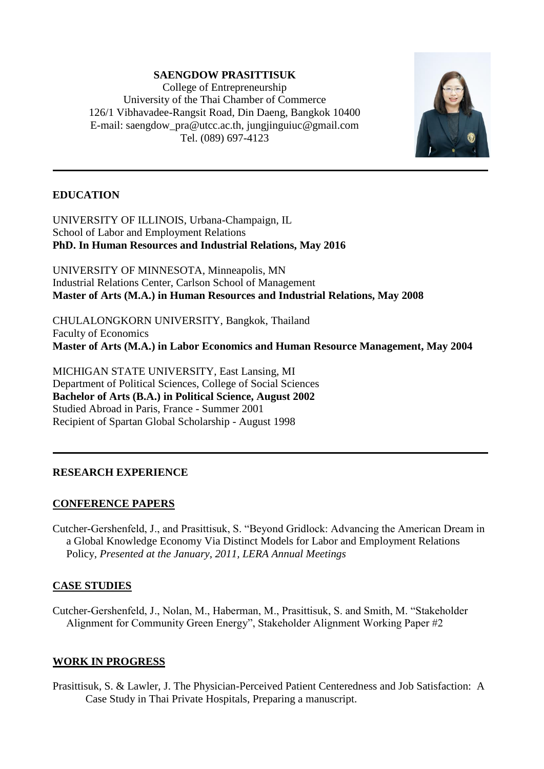## **SAENGDOW PRASITTISUK**

College of Entrepreneurship University of the Thai Chamber of Commerce 126/1 Vibhavadee-Rangsit Road, Din Daeng, Bangkok 10400 E-mail: [saengdow\\_pra@utcc.ac.th,](mailto:saengdow_pra@utcc.ac.th) jungjinguiuc@gmail.com Tel. (089) 697-4123



## **EDUCATION**

UNIVERSITY OF ILLINOIS, Urbana-Champaign, IL School of Labor and Employment Relations **PhD. In Human Resources and Industrial Relations, May 2016**

UNIVERSITY OF MINNESOTA, Minneapolis, MN Industrial Relations Center, Carlson School of Management **Master of Arts (M.A.) in Human Resources and Industrial Relations, May 2008**

CHULALONGKORN UNIVERSITY, Bangkok, Thailand Faculty of Economics **Master of Arts (M.A.) in Labor Economics and Human Resource Management, May 2004** 

MICHIGAN STATE UNIVERSITY, East Lansing, MI Department of Political Sciences, College of Social Sciences **Bachelor of Arts (B.A.) in Political Science, August 2002** Studied Abroad in Paris, France - Summer 2001 Recipient of Spartan Global Scholarship - August 1998

## **RESEARCH EXPERIENCE**

## **CONFERENCE PAPERS**

Cutcher-Gershenfeld, J., and Prasittisuk, S. "Beyond Gridlock: Advancing the American Dream in a Global Knowledge Economy Via Distinct Models for Labor and Employment Relations Policy, *Presented at the January, 2011, LERA Annual Meetings*

# **CASE STUDIES**

Cutcher-Gershenfeld, J., Nolan, M., Haberman, M., Prasittisuk, S. and Smith, M. "Stakeholder Alignment for Community Green Energy", Stakeholder Alignment Working Paper #2

# **WORK IN PROGRESS**

Prasittisuk, S. & Lawler, J. The Physician-Perceived Patient Centeredness and Job Satisfaction: A Case Study in Thai Private Hospitals, Preparing a manuscript.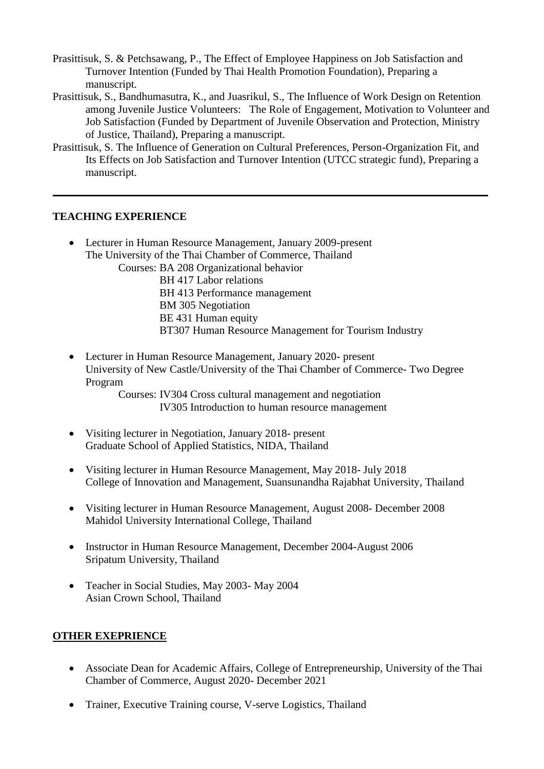- Prasittisuk, S. & Petchsawang, P., The Effect of Employee Happiness on Job Satisfaction and Turnover Intention (Funded by Thai Health Promotion Foundation), Preparing a manuscript.
- Prasittisuk, S., Bandhumasutra, K., and Juasrikul, S., The Influence of Work Design on Retention among Juvenile Justice Volunteers: The Role of Engagement, Motivation to Volunteer and Job Satisfaction (Funded by Department of Juvenile Observation and Protection, Ministry of Justice, Thailand), Preparing a manuscript.
- Prasittisuk, S. The Influence of Generation on Cultural Preferences, Person-Organization Fit, and Its Effects on Job Satisfaction and Turnover Intention (UTCC strategic fund), Preparing a manuscript.

#### **TEACHING EXPERIENCE**

- Lecturer in Human Resource Management, January 2009-present The University of the Thai Chamber of Commerce, Thailand Courses: BA 208 Organizational behavior BH 417 Labor relations BH 413 Performance management BM 305 Negotiation BE 431 Human equity BT307 Human Resource Management for Tourism Industry
- Lecturer in Human Resource Management, January 2020- present University of New Castle/University of the Thai Chamber of Commerce- Two Degree Program

Courses: IV304 Cross cultural management and negotiation IV305 Introduction to human resource management

- Visiting lecturer in Negotiation, January 2018- present Graduate School of Applied Statistics, NIDA, Thailand
- Visiting lecturer in Human Resource Management, May 2018- July 2018 College of Innovation and Management, Suansunandha Rajabhat University, Thailand
- Visiting lecturer in Human Resource Management, August 2008- December 2008 Mahidol University International College, Thailand
- Instructor in Human Resource Management, December 2004-August 2006 Sripatum University, Thailand
- Teacher in Social Studies, May 2003- May 2004 Asian Crown School, Thailand

## **OTHER EXEPRIENCE**

- Associate Dean for Academic Affairs, College of Entrepreneurship, University of the Thai Chamber of Commerce, August 2020- December 2021
- Trainer, Executive Training course, V-serve Logistics, Thailand